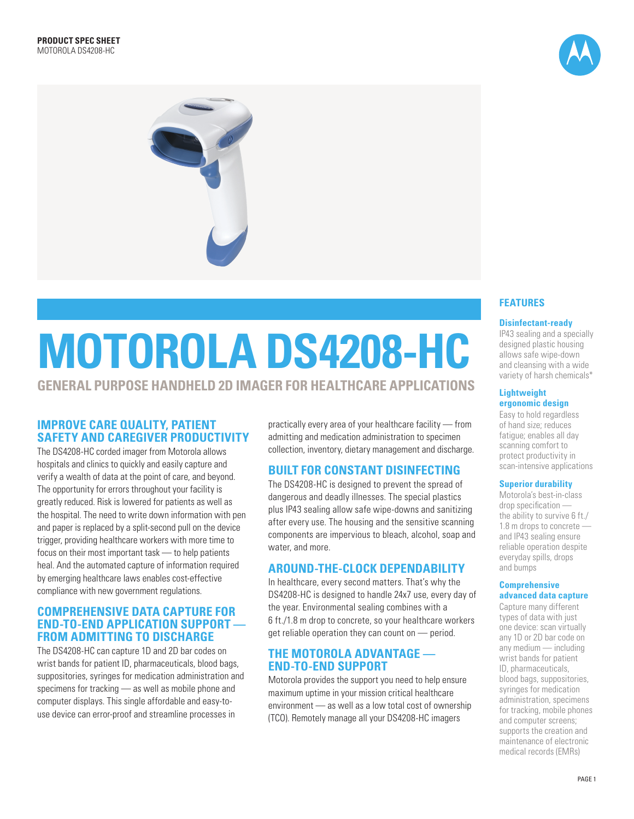



# **Motorola DS4208-HC**

# **General purpose handheld 2D imager for healthcare applications**

# **Improve care quality, patient safety and caregiver productivity**

The DS4208-HC corded imager from Motorola allows hospitals and clinics to quickly and easily capture and verify a wealth of data at the point of care, and beyond. The opportunity for errors throughout your facility is greatly reduced. Risk is lowered for patients as well as the hospital. The need to write down information with pen and paper is replaced by a split-second pull on the device trigger, providing healthcare workers with more time to focus on their most important task — to help patients heal. And the automated capture of information required by emerging healthcare laws enables cost-effective compliance with new government regulations.

## **comprehensive data capture for end-to-end application support from admitting to discharge**

The DS4208-HC can capture 1D and 2D bar codes on wrist bands for patient ID, pharmaceuticals, blood bags, suppositories, syringes for medication administration and specimens for tracking — as well as mobile phone and computer displays. This single affordable and easy-touse device can error-proof and streamline processes in

practically every area of your healthcare facility — from admitting and medication administration to specimen collection, inventory, dietary management and discharge.

# **built for constant disinfecting**

The DS4208-HC is designed to prevent the spread of dangerous and deadly illnesses. The special plastics plus IP43 sealing allow safe wipe-downs and sanitizing after every use. The housing and the sensitive scanning components are impervious to bleach, alcohol, soap and water, and more.

# **around-the-clock dependability**

In healthcare, every second matters. That's why the DS4208-HC is designed to handle 24x7 use, every day of the year. Environmental sealing combines with a 6 ft./1.8 m drop to concrete, so your healthcare workers get reliable operation they can count on — period.

# **The Motorola advantage end-to-end support**

Motorola provides the support you need to help ensure maximum uptime in your mission critical healthcare environment — as well as a low total cost of ownership (TCO). Remotely manage all your DS4208-HC imagers

### **Features**

#### **Disinfectant-ready**

IP43 sealing and a specially designed plastic housing allows safe wipe-down and cleansing with a wide variety of harsh chemicals\*

#### **Lightweight ergonomic design**

Easy to hold regardless of hand size; reduces fatigue; enables all day scanning comfort to protect productivity in scan-intensive applications

#### **Superior durability**

Motorola's best-in-class drop specification the ability to survive 6 ft./ 1.8 m drops to concrete and IP43 sealing ensure reliable operation despite everyday spills, drops and bumps

#### **Comprehensive advanced data capture**

Capture many different types of data with just one device: scan virtually any 1D or 2D bar code on any medium — including wrist bands for patient ID, pharmaceuticals, blood bags, suppositories, syringes for medication administration, specimens for tracking, mobile phones and computer screens; supports the creation and maintenance of electronic medical records (EMRs)